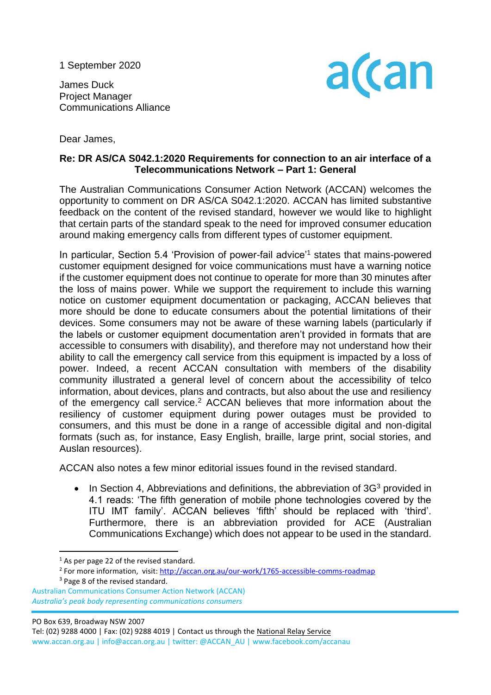1 September 2020

James Duck Project Manager Communications Alliance



Dear James,

## **Re: DR AS/CA S042.1:2020 Requirements for connection to an air interface of a Telecommunications Network – Part 1: General**

The Australian Communications Consumer Action Network (ACCAN) welcomes the opportunity to comment on DR AS/CA S042.1:2020. ACCAN has limited substantive feedback on the content of the revised standard, however we would like to highlight that certain parts of the standard speak to the need for improved consumer education around making emergency calls from different types of customer equipment.

In particular, Section 5.4 'Provision of power-fail advice'<sup>1</sup> states that mains-powered customer equipment designed for voice communications must have a warning notice if the customer equipment does not continue to operate for more than 30 minutes after the loss of mains power. While we support the requirement to include this warning notice on customer equipment documentation or packaging, ACCAN believes that more should be done to educate consumers about the potential limitations of their devices. Some consumers may not be aware of these warning labels (particularly if the labels or customer equipment documentation aren't provided in formats that are accessible to consumers with disability), and therefore may not understand how their ability to call the emergency call service from this equipment is impacted by a loss of power. Indeed, a recent ACCAN consultation with members of the disability community illustrated a general level of concern about the accessibility of telco information, about devices, plans and contracts, but also about the use and resiliency of the emergency call service.<sup>2</sup> ACCAN believes that more information about the resiliency of customer equipment during power outages must be provided to consumers, and this must be done in a range of accessible digital and non-digital formats (such as, for instance, Easy English, braille, large print, social stories, and Auslan resources).

ACCAN also notes a few minor editorial issues found in the revised standard.

In Section 4, Abbreviations and definitions, the abbreviation of 3G<sup>3</sup> provided in 4.1 reads: 'The fifth generation of mobile phone technologies covered by the ITU IMT family'. ACCAN believes 'fifth' should be replaced with 'third'. Furthermore, there is an abbreviation provided for ACE (Australian Communications Exchange) which does not appear to be used in the standard.

PO Box 639, Broadway NSW 2007

Tel: (02) 9288 4000 | Fax: (02) 9288 4019 | Contact us through th[e National Relay Service](http://relayservice.gov.au/) www.accan.org.au | info@accan.org.au | twitter: @ACCAN\_AU | www.facebook.com/accanau

 $<sup>1</sup>$  As per page 22 of the revised standard.</sup>

<sup>&</sup>lt;sup>2</sup> For more information, visit:<http://accan.org.au/our-work/1765-accessible-comms-roadmap> <sup>3</sup> Page 8 of the revised standard.

Australian Communications Consumer Action Network (ACCAN)  *Australia's peak body representing communications consumers*